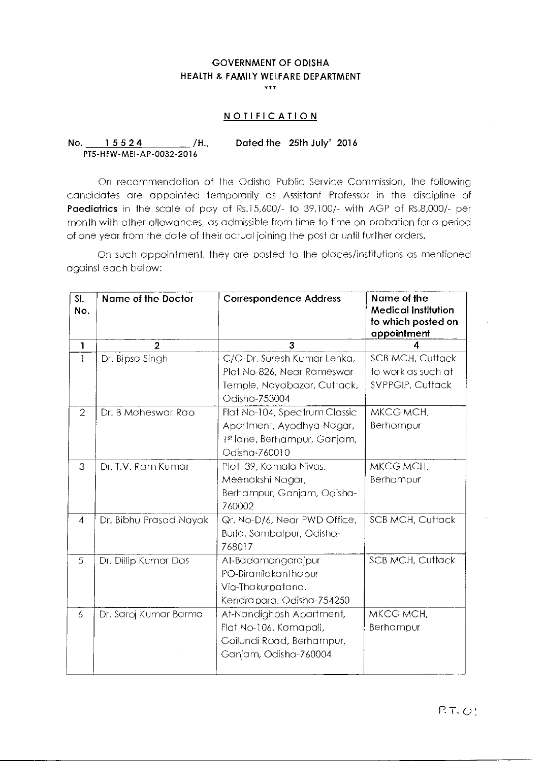## **GOVERNMENT OF ODISHA HEALTH & FAMILY WELFARE DEPARTMENT**

\*\*\*

## **NOTIFICATION**

## **No. 1 5 5 2 4 /H. Dated the 25th July' 2016**  PT5-HFW-MEI-AP-0032-2016

On recommendation of the Odisha Public Service Commission, the following candidates are appointed temporarily as Assistant Professor in the discipline of **Paediatrics** in the scale of pay of Rs.15,600/- to 39,100/- with AGP of Rs.8,000/- per month with other allowances as admissible from time to time on probation for a period of one year from the date of their actual joining the post or until further orders.

On such appointment, they are posted to the places/institutions as mentioned against each below:

| SI.<br>No.     | Name of the Doctor     | <b>Correspondence Address</b>                | Name of the<br><b>Medical Institution</b><br>to which posted on<br>appointment |
|----------------|------------------------|----------------------------------------------|--------------------------------------------------------------------------------|
| 1              | $\mathbf{2}$           | 3                                            |                                                                                |
| 1              | Dr. Bipsa Singh        | C/O-Dr. Suresh Kumar Lenka,                  | <b>SCB MCH, Cuttack</b>                                                        |
|                |                        | Plot No-826, Near Rameswar                   | to work as such at                                                             |
|                |                        | Temple, Nayabazar, Cuttack,<br>Odisha-753004 | SVPPGIP, Cuttack                                                               |
| $\overline{2}$ | Dr. B Maheswar Rao     | Flat No-104, Spectrum Classic                | MKCG MCH,                                                                      |
|                |                        | Apartment, Ayodhya Nagar,                    | Berhampur                                                                      |
|                |                        | 1st lane, Berhampur, Ganjam,                 |                                                                                |
|                |                        | Odisha-760010                                |                                                                                |
| 3              | Dr. T.V. Ram Kumar     | Plot-39, Kamala Nivas,                       | MKCG MCH.                                                                      |
|                |                        | Meenakshi Nagar,                             | Berhampur                                                                      |
|                |                        | Berhampur, Ganjam, Odisha-                   |                                                                                |
|                |                        | 760002                                       |                                                                                |
| $\overline{4}$ | Dr. Bibhu Prasad Nayak | Qr. No-D/6, Near PWD Office,                 | <b>SCB MCH, Cuttack</b>                                                        |
|                |                        | Burla, Sambalpur, Odisha-                    |                                                                                |
|                |                        | 768017                                       |                                                                                |
| 5              | Dr. Dillip Kumar Das   | At-Badamangarajpur                           | <b>SCB MCH, Cuttack</b>                                                        |
|                |                        | PO-Biranilakanthapur                         |                                                                                |
|                |                        | Via-Thakurpatana,                            |                                                                                |
|                |                        | Kendrapara, Odisha-754250                    |                                                                                |
| 6              | Dr. Saroj Kumar Barma  | At-Nandighosh Apartment,                     | MKCG MCH,                                                                      |
|                |                        | Flat No-106, Kamapali,                       | Berhampur                                                                      |
|                |                        | Goilundi Road, Berhampur,                    |                                                                                |
|                |                        | Ganjam, Odisha-760004                        |                                                                                |
|                |                        |                                              |                                                                                |